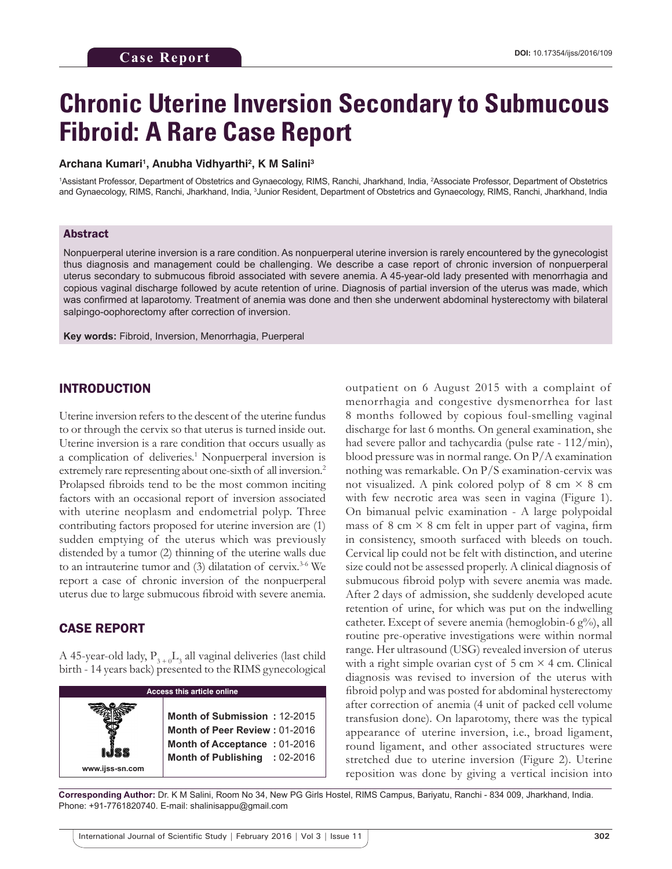# **Chronic Uterine Inversion Secondary to Submucous Fibroid: A Rare Case Report**

#### **Archana Kumari1 , Anubha Vidhyarthi2 , K M Salini3**

1 Assistant Professor, Department of Obstetrics and Gynaecology, RIMS, Ranchi, Jharkhand, India, 2 Associate Professor, Department of Obstetrics and Gynaecology, RIMS, Ranchi, Jharkhand, India, <sup>3</sup>Junior Resident, Department of Obstetrics and Gynaecology, RIMS, Ranchi, Jharkhand, India

#### Abstract

Nonpuerperal uterine inversion is a rare condition. As nonpuerperal uterine inversion is rarely encountered by the gynecologist thus diagnosis and management could be challenging. We describe a case report of chronic inversion of nonpuerperal uterus secondary to submucous fibroid associated with severe anemia. A 45‑year‑old lady presented with menorrhagia and copious vaginal discharge followed by acute retention of urine. Diagnosis of partial inversion of the uterus was made, which was confirmed at laparotomy. Treatment of anemia was done and then she underwent abdominal hysterectomy with bilateral salpingo-oophorectomy after correction of inversion.

**Key words:** Fibroid, Inversion, Menorrhagia, Puerperal

#### INTRODUCTION

Uterine inversion refers to the descent of the uterine fundus to or through the cervix so that uterus is turned inside out. Uterine inversion is a rare condition that occurs usually as a complication of deliveries.<sup>1</sup> Nonpuerperal inversion is extremely rare representing about one-sixth of all inversion.<sup>2</sup> Prolapsed fibroids tend to be the most common inciting factors with an occasional report of inversion associated with uterine neoplasm and endometrial polyp. Three contributing factors proposed for uterine inversion are (1) sudden emptying of the uterus which was previously distended by a tumor (2) thinning of the uterine walls due to an intrauterine tumor and  $(3)$  dilatation of cervix.<sup>3-6</sup> We report a case of chronic inversion of the nonpuerperal uterus due to large submucous fibroid with severe anemia.

#### CASE REPORT

A 45-year-old lady,  $\mathrm{P_{3+0}L_{3}}$  all vaginal deliveries (last child birth ‑ 14 years back) presented to the RIMS gynecological

| <b>Access this article online</b>                                                                                                                 |  |
|---------------------------------------------------------------------------------------------------------------------------------------------------|--|
| Month of Submission: 12-2015<br>Month of Peer Review: 01-2016<br>Month of Acceptance: 01-2016<br>Month of Publishing : 02-2016<br>www.ijss-sn.com |  |

outpatient on 6 August 2015 with a complaint of menorrhagia and congestive dysmenorrhea for last 8 months followed by copious foul‑smelling vaginal discharge for last 6 months. On general examination, she had severe pallor and tachycardia (pulse rate  $-112/min$ ), blood pressure was in normal range. On P/A examination nothing was remarkable. On P/S examination‑cervix was not visualized. A pink colored polyp of 8 cm  $\times$  8 cm with few necrotic area was seen in vagina (Figure 1). On bimanual pelvic examination ‑ A large polypoidal mass of  $8 \text{ cm} \times 8 \text{ cm}$  felt in upper part of vagina, firm in consistency, smooth surfaced with bleeds on touch. Cervical lip could not be felt with distinction, and uterine size could not be assessed properly. A clinical diagnosis of submucous fibroid polyp with severe anemia was made. After 2 days of admission, she suddenly developed acute retention of urine, for which was put on the indwelling catheter. Except of severe anemia (hemoglobin-6  $g\%$ ), all routine pre‑operative investigations were within normal range. Her ultrasound (USG) revealed inversion of uterus with a right simple ovarian cyst of  $5 \text{ cm} \times 4 \text{ cm}$ . Clinical diagnosis was revised to inversion of the uterus with fibroid polyp and was posted for abdominal hysterectomy after correction of anemia (4 unit of packed cell volume transfusion done). On laparotomy, there was the typical appearance of uterine inversion, i.e., broad ligament, round ligament, and other associated structures were stretched due to uterine inversion (Figure 2). Uterine reposition was done by giving a vertical incision into

**Corresponding Author:** Dr. K M Salini, Room No 34, New PG Girls Hostel, RIMS Campus, Bariyatu, Ranchi ‑ 834 009, Jharkhand, India. Phone: +91-7761820740. E-mail: shalinisappu@gmail.com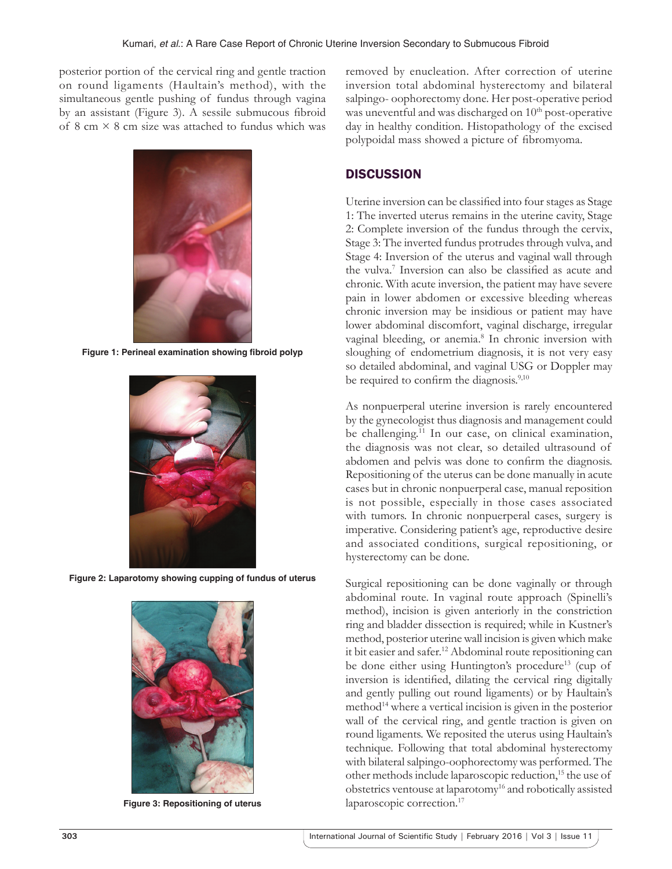posterior portion of the cervical ring and gentle traction on round ligaments (Haultain's method), with the simultaneous gentle pushing of fundus through vagina by an assistant (Figure 3). A sessile submucous fibroid of 8 cm  $\times$  8 cm size was attached to fundus which was



**Figure 1: Perineal examination showing fibroid polyp**



**Figure 2: Laparotomy showing cupping of fundus of uterus**



**Figure 3: Repositioning of uterus**

removed by enucleation. After correction of uterine inversion total abdominal hysterectomy and bilateral salpingo- oophorectomy done. Her post-operative period was uneventful and was discharged on  $10<sup>th</sup>$  post-operative day in healthy condition. Histopathology of the excised polypoidal mass showed a picture of fibromyoma.

## **DISCUSSION**

Uterine inversion can be classified into four stages as Stage 1: The inverted uterus remains in the uterine cavity, Stage 2: Complete inversion of the fundus through the cervix, Stage 3: The inverted fundus protrudes through vulva, and Stage 4: Inversion of the uterus and vaginal wall through the vulva.7 Inversion can also be classified as acute and chronic. With acute inversion, the patient may have severe pain in lower abdomen or excessive bleeding whereas chronic inversion may be insidious or patient may have lower abdominal discomfort, vaginal discharge, irregular vaginal bleeding, or anemia.<sup>8</sup> In chronic inversion with sloughing of endometrium diagnosis, it is not very easy so detailed abdominal, and vaginal USG or Doppler may be required to confirm the diagnosis.<sup>9,10</sup>

As nonpuerperal uterine inversion is rarely encountered by the gynecologist thus diagnosis and management could be challenging.<sup>11</sup> In our case, on clinical examination, the diagnosis was not clear, so detailed ultrasound of abdomen and pelvis was done to confirm the diagnosis. Repositioning of the uterus can be done manually in acute cases but in chronic nonpuerperal case, manual reposition is not possible, especially in those cases associated with tumors. In chronic nonpuerperal cases, surgery is imperative. Considering patient's age, reproductive desire and associated conditions, surgical repositioning, or hysterectomy can be done.

Surgical repositioning can be done vaginally or through abdominal route. In vaginal route approach (Spinelli's method), incision is given anteriorly in the constriction ring and bladder dissection is required; while in Kustner's method, posterior uterine wall incision is given which make it bit easier and safer.12 Abdominal route repositioning can be done either using Huntington's procedure<sup>13</sup> (cup of inversion is identified, dilating the cervical ring digitally and gently pulling out round ligaments) or by Haultain's method<sup>14</sup> where a vertical incision is given in the posterior wall of the cervical ring, and gentle traction is given on round ligaments. We reposited the uterus using Haultain's technique. Following that total abdominal hysterectomy with bilateral salpingo-oophorectomy was performed. The other methods include laparoscopic reduction,15 the use of obstetrics ventouse at laparotomy16 and robotically assisted laparoscopic correction.<sup>17</sup>